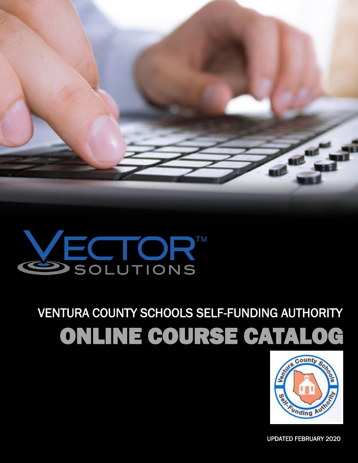

# WECTORT

## VENTURA COUNTY SCHOOLS SELF-FUNDING AUTHORITY ONLINE COURSE CATALOG



1 UPDATED FEBRUARY 2020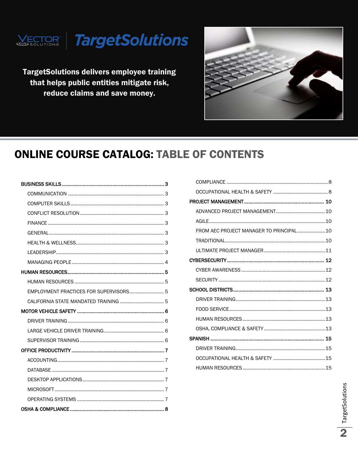

**TargetSolutions delivers employee training** that helps public entities mitigate risk, reduce claims and save money.



### **ONLINE COURSE CATALOG: TABLE OF CONTENTS**

| EMPLOYMENT PRACTICES FOR SUPERVISORS 5 |
|----------------------------------------|
|                                        |
|                                        |
|                                        |
|                                        |
|                                        |
|                                        |
|                                        |
|                                        |
|                                        |
|                                        |
|                                        |
|                                        |

| FROM AEC PROJECT MANAGER TO PRINCIPAL10 |  |
|-----------------------------------------|--|
|                                         |  |
|                                         |  |
|                                         |  |
|                                         |  |
|                                         |  |
|                                         |  |
|                                         |  |
|                                         |  |
|                                         |  |
|                                         |  |
|                                         |  |
|                                         |  |
|                                         |  |
|                                         |  |
|                                         |  |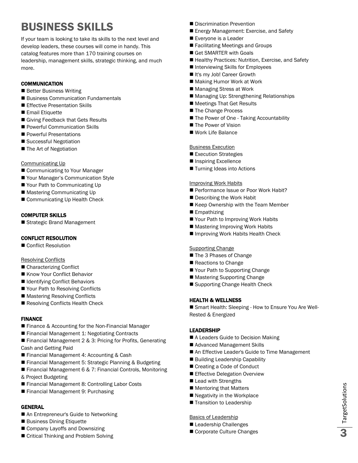### <span id="page-2-0"></span>BUSINESS SKILLS

If your team is looking to take its skills to the next level and develop leaders, these courses will come in handy. This catalog features more than 170 training courses on leadership, management skills, strategic thinking, and much more.

### <span id="page-2-1"></span>**COMMUNICATION**

- **Better Business Writing**
- Business Communication Fundamentals
- **Effective Presentation Skills**
- **Email Etiquette**
- Giving Feedback that Gets Results
- Powerful Communication Skills
- **Powerful Presentations**
- Successful Negotiation
- The Art of Negotiation

### Communicating Up

- Communicating to Your Manager
- Your Manager's Communication Style
- Your Path to Communicating Up
- Mastering Communicating Up
- Communicating Up Health Check

### <span id="page-2-2"></span>COMPUTER SKILLS

Strategic Brand Management

### <span id="page-2-3"></span>CONFLICT RESOLUTION

Conflict Resolution

### Resolving Conflicts

- Characterizing Conflict
- Know Your Conflict Behavior
- Identifying Conflict Behaviors
- Your Path to Resolving Conflicts
- Mastering Resolving Conflicts
- Resolving Conflicts Health Check

### <span id="page-2-4"></span>FINANCE

- **Finance & Accounting for the Non-Financial Manager**
- Financial Management 1: Negotiating Contracts
- Financial Management 2 & 3: Pricing for Profits, Generating Cash and Getting Paid
- **Financial Management 4: Accounting & Cash**
- Financial Management 5: Strategic Planning & Budgeting
- Financial Management 6 & 7: Financial Controls, Monitoring & Project Budgeting
- Financial Management 8: Controlling Labor Costs
- Financial Management 9: Purchasing

### <span id="page-2-5"></span>GENERAL

- An Entrepreneur's Guide to Networking
- Business Dining Etiquette
- Company Layoffs and Downsizing
- Critical Thinking and Problem Solving
- Discrimination Prevention
- Energy Management: Exercise, and Safety
- Everyone is a Leader
- Facilitating Meetings and Groups
- Get SMARTER with Goals
- Healthy Practices: Nutrition, Exercise, and Safety
- Interviewing Skills for Employees
- It's my Job! Career Growth
- Making Humor Work at Work
- Managing Stress at Work
- Managing Up: Strengthening Relationships
- Meetings That Get Results
- The Change Process
- The Power of One Taking Accountability
- **The Power of Vision**
- Work Life Balance

### Business Execution

- Execution Strategies
- **Inspiring Excellence**
- **Turning Ideas into Actions**

### Improving Work Habits

- Performance Issue or Poor Work Habit?
- Describing the Work Habit
- Keep Ownership with the Team Member
- Empathizing
- Your Path to Improving Work Habits
- Mastering Improving Work Habits
- Improving Work Habits Health Check

#### **Supporting Change**

- The 3 Phases of Change
- Reactions to Change
- Your Path to Supporting Change
- Mastering Supporting Change
- Supporting Change Health Check

### <span id="page-2-6"></span>HEALTH & WELLNESS

■ Smart Health: Sleeping - How to Ensure You Are Well-Rested & Energized

### <span id="page-2-7"></span>LEADERSHIP

- A Leaders Guide to Decision Making
- Advanced Management Skills
- An Effective Leader's Guide to Time Management
- Building Leadership Capability
- Creating a Code of Conduct
- Effective Delegation Overview
- Lead with Strengths
- Mentoring that Matters
- Negativity in the Workplace
- Transition to Leadership

#### Basics of Leadership

- Leadership Challenges
- Corporate Culture Changes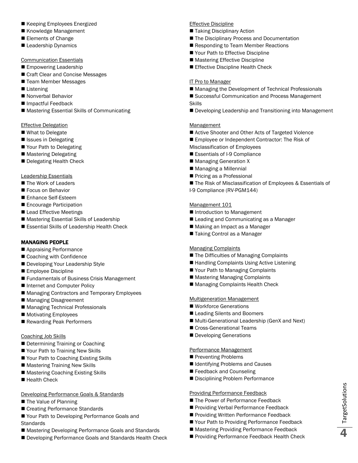- Keeping Employees Energized
- Knowledge Management
- Elements of Change
- Leadership Dynamics

#### Communication Essentials

- **Empowering Leadership**
- Craft Clear and Concise Messages
- Team Member Messages
- Listening
- Nonverbal Behavior
- Impactful Feedback
- Mastering Essential Skills of Communicating

### Effective Delegation

- What to Delegate
- Issues in Delegating
- Your Path to Delegating
- Mastering Delegating
- Delegating Health Check

### Leadership Essentials

- The Work of Leaders
- Focus on Behavior
- Enhance Self-Esteem
- **Encourage Participation**
- Lead Effective Meetings
- Mastering Essential Skills of Leadership
- Essential Skills of Leadership Health Check

### <span id="page-3-0"></span>MANAGING PEOPLE

- Appraising Performance
- Coaching with Confidence
- Developing Your Leadership Style
- Employee Discipline
- **Fundamentals of Business Crisis Management**
- Internet and Computer Policy
- Managing Contractors and Temporary Employees
- Managing Disagreement
- Managing Technical Professionals
- **Motivating Employees**
- Rewarding Peak Performers

### Coaching Job Skills

- Determining Training or Coaching
- Your Path to Training New Skills
- Your Path to Coaching Existing Skills
- Mastering Training New Skills
- Mastering Coaching Existing Skills
- Health Check

### Developing Performance Goals & Standards

- The Value of Planning
- Creating Performance Standards
- Your Path to Developing Performance Goals and **Standards**
- Mastering Developing Performance Goals and Standards
- Developing Performance Goals and Standards Health Check

### Effective Discipline

- Taking Disciplinary Action
- The Disciplinary Process and Documentation
- Responding to Team Member Reactions
- Your Path to Effective Discipline
- Mastering Effective Discipline
- Effective Discipline Health Check

### IT Pro to Manager

- Managing the Development of Technical Professionals
- Successful Communication and Process Management Skills
- Developing Leadership and Transitioning into Management

### Management

- Active Shooter and Other Acts of Targeted Violence
- Employee or Independent Contractor: The Risk of
- Misclassification of Employees
- Essentials of I-9 Compliance
- **Managing Generation X**
- Managing a Millennial
- Pricing as a Professional
- The Risk of Misclassification of Employees & Essentials of
- I-9 Compliance (RV-PGM144)

### Management 101

- Introduction to Management
- Leading and Communicating as a Manager
- Making an Impact as a Manager
- Taking Control as a Manager

### Managing Complaints

- The Difficulties of Managing Complaints
- Handling Complaints Using Active Listening
- Your Path to Managing Complaints
- Mastering Managing Complaints
- Managing Complaints Health Check

### Multigeneration Management

- Workforce Generations
- Leading Silents and Boomers
- Multi-Generational Leadership (GenX and Next)
- Cross-Generational Teams
- Developing Generations

### Performance Management

- Preventing Problems
- Identifying Problems and Causes
- Feedback and Counseling
- Disciplining Problem Performance

### Providing Performance Feedback

- The Power of Performance Feedback
- Providing Verbal Performance Feedback
- Providing Written Performance Feedback
- Your Path to Providing Performance Feedback

TargetSolutions TargetSolutions

■ Mastering Providing Performance Feedback Providing Performance Feedback Health Check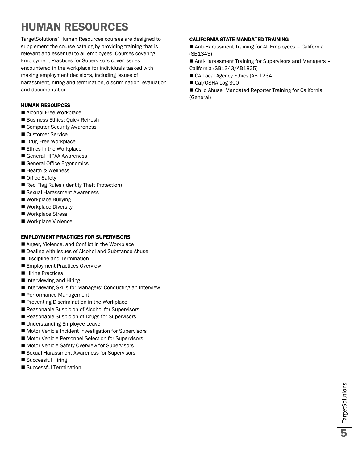### <span id="page-4-0"></span>HUMAN RESOURCES

TargetSolutions' Human Resources courses are designed to supplement the course catalog by providing training that is relevant and essential to all employees. Courses covering Employment Practices for Supervisors cover issues encountered in the workplace for individuals tasked with making employment decisions, including issues of harassment, hiring and termination, discrimination, evaluation and documentation.

### <span id="page-4-1"></span>HUMAN RESOURCES

- Alcohol-Free Workplace
- Business Ethics: Quick Refresh
- Computer Security Awareness
- Customer Service
- Drug-Free Workplace
- Ethics in the Workplace
- General HIPAA Awareness
- General Office Ergonomics
- Health & Wellness
- Office Safety
- Red Flag Rules (Identity Theft Protection)
- Sexual Harassment Awareness
- Workplace Bullying
- Workplace Diversity
- Workplace Stress
- Workplace Violence

### <span id="page-4-2"></span>EMPLOYMENT PRACTICES FOR SUPERVISORS

- Anger, Violence, and Conflict in the Workplace
- Dealing with Issues of Alcohol and Substance Abuse
- Discipline and Termination
- **Employment Practices Overview**
- Hiring Practices
- Interviewing and Hiring
- Interviewing Skills for Managers: Conducting an Interview
- Performance Management
- Preventing Discrimination in the Workplace
- Reasonable Suspicion of Alcohol for Supervisors
- Reasonable Suspicion of Drugs for Supervisors
- Understanding Employee Leave
- **Motor Vehicle Incident Investigation for Supervisors**
- Motor Vehicle Personnel Selection for Supervisors
- Motor Vehicle Safety Overview for Supervisors
- Sexual Harassment Awareness for Supervisors
- Successful Hiring
- Successful Termination

### <span id="page-4-3"></span>CALIFORNIA STATE MANDATED TRAINING

■ Anti-Harassment Training for All Employees - California (SB1343)

■ Anti-Harassment Training for Supervisors and Managers -California (SB1343/AB1825)

- CA Local Agency Ethics (AB 1234)
- Cal/OSHA Log 300

■ Child Abuse: Mandated Reporter Training for California (General)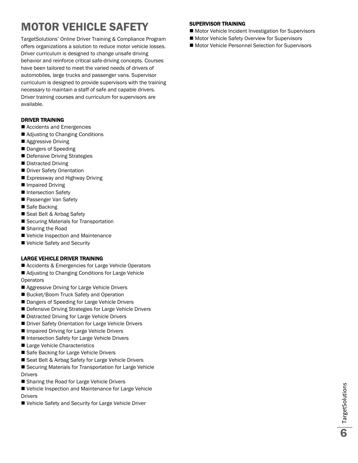### <span id="page-5-0"></span>MOTOR VEHICLE SAFETY

TargetSolutions' Online Driver Training & Compliance Program offers organizations a solution to reduce motor vehicle losses. Driver curriculum is designed to change unsafe driving behavior and reinforce critical safe-driving concepts. Courses have been tailored to meet the varied needs of drivers of automobiles, large trucks and passenger vans. Supervisor curriculum is designed to provide supervisors with the training necessary to maintain a staff of safe and capable drivers. Driver training courses and curriculum for supervisors are available.

### <span id="page-5-1"></span>DRIVER TRAINING

- Accidents and Emergencies
- Adjusting to Changing Conditions
- Aggressive Driving
- Dangers of Speeding
- Defensive Driving Strategies
- Distracted Driving
- Driver Safety Orientation
- Expressway and Highway Driving
- **Impaired Driving**
- Intersection Safety
- **Passenger Van Safety**
- Safe Backing
- Seat Belt & Airbag Safety
- Securing Materials for Transportation
- Sharing the Road
- Vehicle Inspection and Maintenance
- Vehicle Safety and Security

### <span id="page-5-2"></span>LARGE VEHICLE DRIVER TRAINING

- Accidents & Emergencies for Large Vehicle Operators
- Adjusting to Changing Conditions for Large Vehicle **Operators**
- Aggressive Driving for Large Vehicle Drivers
- Bucket/Boom Truck Safety and Operation
- Dangers of Speeding for Large Vehicle Drivers
- Defensive Driving Strategies for Large Vehicle Drivers
- Distracted Driving for Large Vehicle Drivers
- Driver Safety Orientation for Large Vehicle Drivers
- Impaired Driving for Large Vehicle Drivers
- Intersection Safety for Large Vehicle Drivers
- Large Vehicle Characteristics
- Safe Backing for Large Vehicle Drivers
- Seat Belt & Airbag Safety for Large Vehicle Drivers
- Securing Materials for Transportation for Large Vehicle Drivers
- Sharing the Road for Large Vehicle Drivers
- Vehicle Inspection and Maintenance for Large Vehicle Drivers
- Vehicle Safety and Security for Large Vehicle Driver

### <span id="page-5-3"></span>SUPERVISOR TRAINING

- Motor Vehicle Incident Investigation for Supervisors
- Motor Vehicle Safety Overview for Supervisors
- Motor Vehicle Personnel Selection for Supervisors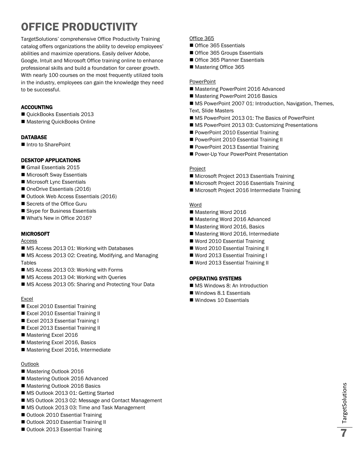### <span id="page-6-0"></span>OFFICE PRODUCTIVITY

TargetSolutions' comprehensive Office Productivity Training catalog offers organizations the ability to develop employees' abilities and maximize operations. Easily deliver Adobe, Google, Intuit and Microsoft Office training online to enhance professional skills and build a foundation for career growth. With nearly 100 courses on the most frequently utilized tools in the industry, employees can gain the knowledge they need to be successful.

### <span id="page-6-1"></span>ACCOUNTING

- QuickBooks Essentials 2013
- Mastering QuickBooks Online

### <span id="page-6-2"></span>**DATABASE**

■ Intro to SharePoint

### <span id="page-6-3"></span>DESKTOP APPLICATIONS

- Gmail Essentials 2015
- Microsoft Sway Essentials
- **Microsoft Lync Essentials**
- OneDrive Essentials (2016)
- Outlook Web Access Essentials (2016)
- Secrets of the Office Guru
- Skype for Business Essentials
- What's New in Office 2016?

### <span id="page-6-4"></span>MICROSOFT

Access

- MS Access 2013 01: Working with Databases
- MS Access 2013 02: Creating, Modifying, and Managing Tables
- MS Access 2013 03: Working with Forms
- MS Access 2013 04: Working with Queries
- MS Access 2013 05: Sharing and Protecting Your Data

### Excel

- Excel 2010 Essential Training
- Excel 2010 Essential Training II
- Excel 2013 Essential Training I
- Excel 2013 Essential Training II
- Mastering Excel 2016
- Mastering Excel 2016, Basics
- Mastering Excel 2016, Intermediate

### **Outlook**

- Mastering Outlook 2016
- Mastering Outlook 2016 Advanced
- Mastering Outlook 2016 Basics
- MS Outlook 2013 01: Getting Started
- MS Outlook 2013 02: Message and Contact Management
- MS Outlook 2013 03: Time and Task Management
- Outlook 2010 Essential Training
- Outlook 2010 Essential Training II
- Outlook 2013 Essential Training

### Office 365

- Office 365 Essentials
- Office 365 Groups Essentials
- Office 365 Planner Essentials
- Mastering Office 365

### **PowerPoint**

- Mastering PowerPoint 2016 Advanced
- Mastering PowerPoint 2016 Basics
- MS PowerPoint 2007 01: Introduction, Navigation, Themes, Text, Slide Masters
- MS PowerPoint 2013 01: The Basics of PowerPoint
- **MS PowerPoint 2013 03: Customizing Presentations**
- PowerPoint 2010 Essential Training
- PowerPoint 2010 Essential Training II
- PowerPoint 2013 Essential Training
- Power-Up Your PowerPoint Presentation

### Project

- Microsoft Project 2013 Essentials Training
- **Microsoft Project 2016 Essentials Training**
- Microsoft Project 2016 Intermediate Training

### Word

- Mastering Word 2016
- Mastering Word 2016 Advanced
- Mastering Word 2016, Basics
- Mastering Word 2016, Intermediate
- Word 2010 Essential Training
- Word 2010 Essential Training II
- Word 2013 Essential Training I
- Word 2013 Essential Training II

### <span id="page-6-5"></span>OPERATING SYSTEMS

- MS Windows 8: An Introduction
- Windows 8.1 Essentials
- Windows 10 Essentials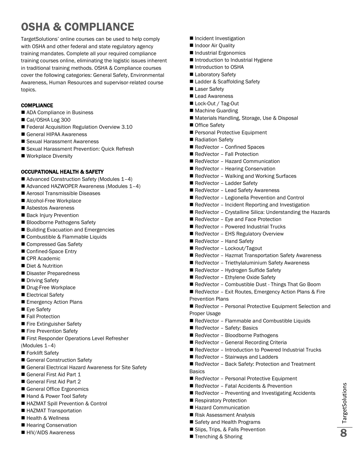### <span id="page-7-0"></span>OSHA & COMPLIANCE

TargetSolutions' online courses can be used to help comply with OSHA and other federal and state regulatory agency training mandates. Complete all your required compliance training courses online, eliminating the logistic issues inherent in traditional training methods. OSHA & Compliance courses cover the following categories: General Safety, Environmental Awareness, Human Resources and supervisor-related course topics.

### <span id="page-7-1"></span>**COMPLIANCE**

- ADA Compliance in Business
- Cal/OSHA Log 300
- Federal Acquisition Regulation Overview 3.10
- General HIPAA Awareness
- Sexual Harassment Awareness
- Sexual Harassment Prevention: Quick Refresh
- Workplace Diversity

### <span id="page-7-2"></span>OCCUPATIONAL HEALTH & SAFETY

- Advanced Construction Safety (Modules 1-4)
- Advanced HAZWOPER Awareness (Modules 1-4)
- Aerosol Transmissible Diseases
- Alcohol-Free Workplace
- Asbestos Awareness
- Back Injury Prevention
- Bloodborne Pathogens Safety
- Building Evacuation and Emergencies
- Combustible & Flammable Liquids
- Compressed Gas Safety
- Confined-Space Entry
- CPR Academic
- Diet & Nutrition
- Disaster Preparedness
- Driving Safety
- Drug-Free Workplace
- Electrical Safety
- **Emergency Action Plans**
- Eye Safety
- Fall Protection
- Fire Extinguisher Safety
- Fire Prevention Safety
- First Responder Operations Level Refresher
- (Modules 1–4)
- Forklift Safety
- General Construction Safety
- General Electrical Hazard Awareness for Site Safety
- General First Aid Part 1
- General First Aid Part 2
- General Office Ergonomics
- Hand & Power Tool Safety
- HAZMAT Spill Prevention & Control
- HAZMAT Transportation
- Health & Wellness
- Hearing Conservation
- HIV/AIDS Awareness
- **Incident Investigation**
- Indoor Air Quality
- Industrial Ergonomics
- Introduction to Industrial Hygiene
- Introduction to OSHA
- Laboratory Safety
- Ladder & Scaffolding Safety
- Laser Safety
- Lead Awareness
- Lock-Out / Tag-Out
- Machine Guarding
- Materials Handling, Storage, Use & Disposal
- Office Safetv
- Personal Protective Equipment
- Radiation Safety
- RedVector Confined Spaces
- RedVector Fall Protection
- RedVector Hazard Communication
- RedVector Hearing Conservation
- RedVector Walking and Working Surfaces
- RedVector Ladder Safety
- RedVector Lead Safety Awareness
- RedVector Legionella Prevention and Control
- RedVector Incident Reporting and Investigation
- RedVector Crystalline Silica: Understanding the Hazards
- RedVector Eye and Face Protection
- RedVector Powered Industrial Trucks
- RedVector EHS Regulatory Overview
- RedVector Hand Safety
- RedVector Lockout/Tagout
- RedVector Hazmat Transportation Safety Awareness
- RedVector Triethylaluminium Safety Awareness
- RedVector Hydrogen Sulfide Safety
- RedVector Ethylene Oxide Safety
- RedVector Combustible Dust Things That Go Boom
- RedVector Exit Routes, Emergency Action Plans & Fire Prevention Plans
- RedVector Personal Protective Equipment Selection and Proper Usage
- RedVector Flammable and Combustible Liquids
- RedVector Safety: Basics
- RedVector Bloodborne Pathogens
- RedVector General Recording Criteria
- RedVector Introduction to Powered Industrial Trucks
- RedVector Stairways and Ladders
- RedVector Back Safety: Protection and Treatment Basics
- RedVector Personal Protective Equipment
- RedVector Fatal Accidents & Prevention
- RedVector Preventing and Investigating Accidents

TargetSolutions **20** TargetSolutions

- Respiratory Protection
- Hazard Communication
- Risk Assessment Analysis
- Safety and Health Programs
- Slips, Trips, & Falls Prevention
- Trenching & Shoring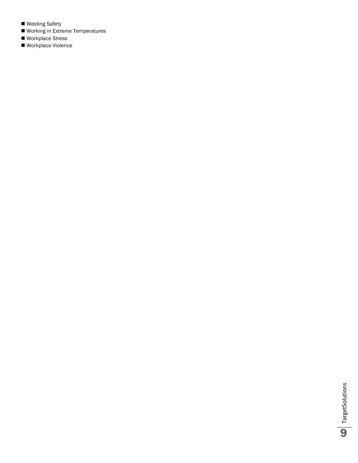- Welding Safety
- Working in Extreme Temperatures
- Workplace Stress
- Workplace Violence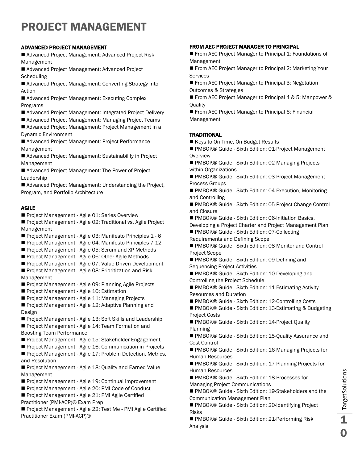### <span id="page-9-0"></span>PROJECT MANAGEMENT

### <span id="page-9-1"></span>ADVANCED PROJECT MANAGEMENT

■ Advanced Project Management: Advanced Project Risk Management

■ Advanced Project Management: Advanced Project **Scheduling** 

■ Advanced Project Management: Converting Strategy Into Action

■ Advanced Project Management: Executing Complex Programs

- Advanced Project Management: Integrated Project Delivery
- Advanced Project Management: Managing Project Teams

■ Advanced Project Management: Project Management in a Dynamic Environment

■ Advanced Project Management: Project Performance Management

■ Advanced Project Management: Sustainability in Project Management

Advanced Project Management: The Power of Project Leadership

■ Advanced Project Management: Understanding the Project, Program, and Portfolio Architecture

### <span id="page-9-2"></span>AGILE

Project Management - Agile 01: Series Overview

Project Management - Agile 02: Traditional vs. Agile Project Management

- Project Management Agile 03: Manifesto Principles 1 6
- Project Management Agile 04: Manifesto Principles 7-12
- Project Management Agile 05: Scrum and XP Methods
- Project Management Agile 06: Other Agile Methods
- Project Management Agile 07: Value Driven Development
- Project Management Agile 08: Prioritization and Risk Management
- **Project Management Agile 09: Planning Agile Projects**
- **Project Management Agile 10: Estimation**
- Project Management Agile 11: Managing Projects
- Project Management Agile 12: Adaptive Planning and Design
- Project Management Agile 13: Soft Skills and Leadership

Project Management - Agile 14: Team Formation and Boosting Team Performance

- Project Management Agile 15: Stakeholder Engagement
- Project Management Agile 16: Communication in Projects

**Project Management - Agile 17: Problem Detection, Metrics,** and Resolution

Project Management - Agile 18: Quality and Earned Value Management

- Project Management Agile 19: Continual Improvement
- Project Management Agile 20: PMI Code of Conduct
- Project Management Agile 21: PMI Agile Certified Practitioner (PMI-ACP)® Exam Prep

Project Management - Agile 22: Test Me - PMI Agile Certified Practitioner Exam (PMI-ACP)®

### <span id="page-9-3"></span>FROM AEC PROJECT MANAGER TO PRINCIPAL

- From AEC Project Manager to Principal 1: Foundations of Management
- From AEC Project Manager to Principal 2: Marketing Your **Services**
- From AEC Project Manager to Principal 3: Negotation Outcomes & Strategies

■ From AEC Project Manager to Principal 4 & 5: Manpower & **Ouality** 

From AEC Project Manager to Principal 6: Financial Management

### <span id="page-9-4"></span>**TRADITIONAL**

- Keys to On-Time, On-Budget Results
- PMBOK® Guide Sixth Edition: 01-Project Management **Overview**

■ PMBOK® Guide - Sixth Edition: 02-Managing Projects within Organizations

■ PMBOK® Guide - Sixth Edition: 03-Project Management Process Groups

■ PMBOK® Guide - Sixth Edition: 04-Execution, Monitoring and Controlling

■ PMBOK® Guide - Sixth Edition: 05-Project Change Control and Closure

■ PMBOK® Guide - Sixth Edition: 06-Initiation Basics,

Developing a Project Charter and Project Management Plan ■ PMBOK® Guide - Sixth Edition: 07-Collecting

- Requirements and Defining Scope
- PMBOK® Guide Sixth Edition: 08-Monitor and Control Project Scope

■ PMBOK® Guide - Sixth Edition: 09-Defining and Sequencing Project Activities

■ PMBOK® Guide - Sixth Edition: 10-Developing and Controlling the Project Schedule

■ PMBOK® Guide - Sixth Edition: 11-Estimating Activity Resources and Duration

■ PMBOK® Guide - Sixth Edition: 12-Controlling Costs

■ PMBOK® Guide - Sixth Edition: 13-Estimating & Budgeting Project Costs

■ PMBOK® Guide - Sixth Edition: 14-Project Quality Planning

■ PMBOK® Guide - Sixth Edition: 15-Quality Assurance and Cost Control

■ PMBOK® Guide - Sixth Edition: 16-Managing Projects for Human Resources

■ PMBOK® Guide - Sixth Edition: 17-Planning Projects for Human Resources

■ PMBOK® Guide - Sixth Edition: 18-Processes for Managing Project Communications

■ PMBOK® Guide - Sixth Edition: 19-Stakeholders and the Communication Management Plan

■ PMBOK® Guide - Sixth Edition: 20-Identifying Project Risks

■ PMBOK® Guide - Sixth Edition: 21-Performing Risk Analysis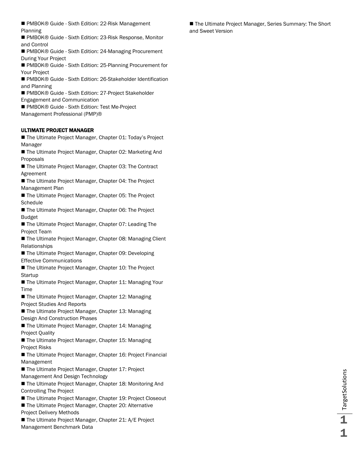■ PMBOK® Guide - Sixth Edition: 22-Risk Management Planning

■ PMBOK® Guide - Sixth Edition: 23-Risk Response, Monitor and Control

■ PMBOK® Guide - Sixth Edition: 24-Managing Procurement During Your Project

■ PMBOK® Guide - Sixth Edition: 25-Planning Procurement for Your Project

■ PMBOK® Guide - Sixth Edition: 26-Stakeholder Identification and Planning

■ PMBOK® Guide - Sixth Edition: 27-Project Stakeholder Engagement and Communication

■ PMBOK® Guide - Sixth Edition: Test Me-Project Management Professional (PMP)®

### <span id="page-10-0"></span>ULTIMATE PROJECT MANAGER

■ The Ultimate Project Manager, Chapter 01: Today's Project Manager

■ The Ultimate Project Manager, Chapter 02: Marketing And Proposals

■ The Ultimate Project Manager, Chapter 03: The Contract Agreement

■ The Ultimate Project Manager, Chapter 04: The Project Management Plan

■ The Ultimate Project Manager, Chapter 05: The Project **Schedule** 

■ The Ultimate Project Manager, Chapter 06: The Project Budget

■ The Ultimate Project Manager, Chapter 07: Leading The Project Team

■ The Ultimate Project Manager, Chapter 08: Managing Client Relationships

■ The Ultimate Project Manager, Chapter 09: Developing Effective Communications

■ The Ultimate Project Manager, Chapter 10: The Project **Startup** 

■ The Ultimate Project Manager, Chapter 11: Managing Your Time

■ The Ultimate Project Manager, Chapter 12: Managing Project Studies And Reports

■ The Ultimate Project Manager, Chapter 13: Managing Design And Construction Phases

■ The Ultimate Project Manager, Chapter 14: Managing Project Quality

■ The Ultimate Project Manager, Chapter 15: Managing Project Risks

■ The Ultimate Project Manager, Chapter 16: Project Financial Management

■ The Ultimate Project Manager, Chapter 17: Project Management And Design Technology

■ The Ultimate Project Manager, Chapter 18: Monitoring And Controlling The Project

■ The Ultimate Project Manager, Chapter 19: Project Closeout

■ The Ultimate Project Manager, Chapter 20: Alternative Project Delivery Methods

■ The Ultimate Project Manager, Chapter 21: A/E Project Management Benchmark Data

■ The Ultimate Project Manager, Series Summary: The Short and Sweet Version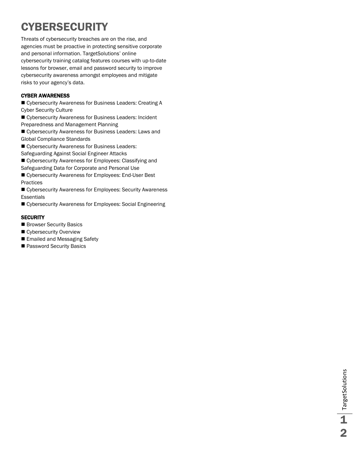### <span id="page-11-0"></span>**CYBERSECURITY**

Threats of cybersecurity breaches are on the rise, and agencies must be proactive in protecting sensitive corporate and personal information. TargetSolutions' online cybersecurity training catalog features courses with up-to-date lessons for browser, email and password security to improve cybersecurity awareness amongst employees and mitigate risks to your agency's data.

### <span id="page-11-1"></span>CYBER AWARENESS

■ Cybersecurity Awareness for Business Leaders: Creating A Cyber Security Culture

■ Cybersecurity Awareness for Business Leaders: Incident Preparedness and Management Planning

 Cybersecurity Awareness for Business Leaders: Laws and Global Compliance Standards

■ Cybersecurity Awareness for Business Leaders:

Safeguarding Against Social Engineer Attacks

 Cybersecurity Awareness for Employees: Classifying and Safeguarding Data for Corporate and Personal Use

 Cybersecurity Awareness for Employees: End-User Best Practices

 Cybersecurity Awareness for Employees: Security Awareness **Essentials** 

Cybersecurity Awareness for Employees: Social Engineering

### <span id="page-11-2"></span>**SECURITY**

- Browser Security Basics
- Cybersecurity Overview
- Emailed and Messaging Safety
- **Password Security Basics**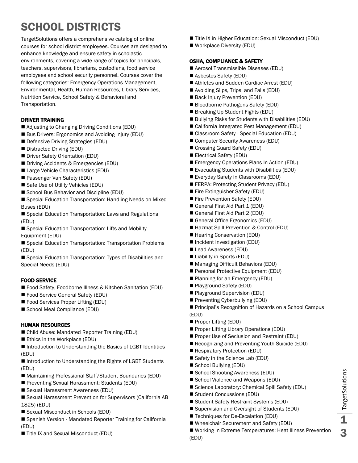### <span id="page-12-0"></span>SCHOOL DISTRICTS

TargetSolutions offers a comprehensive catalog of online courses for school district employees. Courses are designed to enhance knowledge and ensure safety in scholastic environments, covering a wide range of topics for principals, teachers, supervisors, librarians, custodians, food service employees and school security personnel. Courses cover the following categories: Emergency Operations Management, Environmental, Health, Human Resources, Library Services, Nutrition Service, School Safety & Behavioral and Transportation.

### <span id="page-12-1"></span>DRIVER TRAINING

- Adjusting to Changing Driving Conditions (EDU)
- Bus Drivers: Ergonomics and Avoiding Injury (EDU)
- Defensive Driving Strategies (EDU)
- Distracted Driving (EDU)
- Driver Safety Orientation (EDU)
- Driving Accidents & Emergencies (EDU)
- Large Vehicle Characteristics (EDU)
- Passenger Van Safety (EDU)
- Safe Use of Utility Vehicles (EDU)
- School Bus Behavior and Discipline (EDU)
- Special Education Transportation: Handling Needs on Mixed Buses (EDU)
- Special Education Transportation: Laws and Regulations (EDU)
- Special Education Transportation: Lifts and Mobility Equipment (EDU)
- Special Education Transportation: Transportation Problems (EDU)
- Special Education Transportation: Types of Disabilities and Special Needs (EDU)

### <span id="page-12-2"></span>FOOD SERVICE

- Food Safety, Foodborne Illness & Kitchen Sanitation (EDU)
- Food Service General Safety (EDU)
- Food Services Proper Lifting (EDU)
- School Meal Compliance (EDU)

### <span id="page-12-3"></span>HUMAN RESOURCES

- Child Abuse: Mandated Reporter Training (EDU)
- Ethics in the Workplace (EDU)

■ Introduction to Understanding the Basics of LGBT Identities (EDU)

- Introduction to Understanding the Rights of LGBT Students (EDU)
- Maintaining Professional Staff/Student Boundaries (EDU)
- **Preventing Sexual Harassment: Students (EDU)**
- Sexual Harassment Awareness (EDU)
- Sexual Harassment Prevention for Supervisors (California AB 1825) (EDU)
- Sexual Misconduct in Schools (EDU)
- Spanish Version Mandated Reporter Training for California (EDU)
- Title IX and Sexual Misconduct (EDU)
- Title IX in Higher Education: Sexual Misconduct (EDU)
- Workplace Diversity (EDU)

### <span id="page-12-4"></span>OSHA, COMPLIANCE & SAFETY

- Aerosol Transmissible Diseases (EDU)
- Asbestos Safety (EDU)
- Athletes and Sudden Cardiac Arrest (EDU)
- Avoiding Slips, Trips, and Falls (EDU)
- Back Injury Prevention (EDU)
- Bloodborne Pathogens Safety (EDU)
- Breaking Up Student Fights (EDU)
- Bullying Risks for Students with Disabilities (EDU)
- California Integrated Pest Management (EDU)
- Classroom Safety Special Education (EDU)
- Computer Security Awareness (EDU)
- Crossing Guard Safety (EDU)
- Electrical Safety (EDU)
- Emergency Operations Plans In Action (EDU)
- Evacuating Students with Disabilities (EDU)
- Everyday Safety in Classrooms (EDU)
- FERPA: Protecting Student Privacy (EDU)
- Fire Extinguisher Safety (EDU)
- Fire Prevention Safety (EDU)
- General First Aid Part 1 (EDU)
- General First Aid Part 2 (EDU)
- General Office Ergonomics (EDU)
- Hazmat Spill Prevention & Control (EDU)
- Hearing Conservation (EDU)
- Incident Investigation (EDU)
- Lead Awareness (EDU)
- Liability in Sports (EDU)
- Managing Difficult Behaviors (EDU)
- **Personal Protective Equipment (EDU)**
- **Planning for an Emergency (EDU)**
- Playground Safety (EDU)
- Playground Supervision (EDU)
- Preventing Cyberbullying (EDU)
- **Principal's Recognition of Hazards on a School Campus** (EDU)
- Proper Lifting (EDU)
- **Proper Lifting Library Operations (EDU)**
- **Proper Use of Seclusion and Restraint (EDU)**
- Recognizing and Preventing Youth Suicide (EDU)
- Respiratory Protection (EDU)
- Safety in the Science Lab (EDU)
- School Bullying (EDU)
- School Shooting Awareness (EDU)
- School Violence and Weapons (EDU)
- Science Laboratory: Chemical Spill Safety (EDU)
- Student Concussions (EDU)
- Student Safety Restraint Systems (EDU) ■ Supervision and Oversight of Students (EDU)
- 
- Techniques for De-Escalation (EDU)
- Wheelchair Securement and Safety (EDU)
- Working in Extreme Temperatures: Heat Illness Prevention (EDU)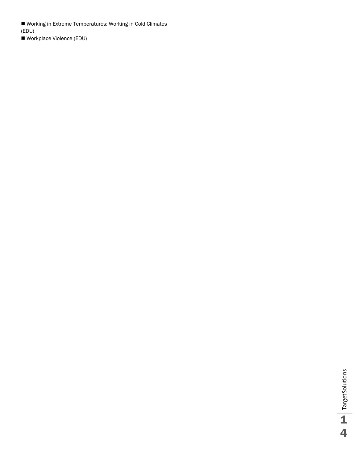Working in Extreme Temperatures: Working in Cold Climates (EDU)

Workplace Violence (EDU)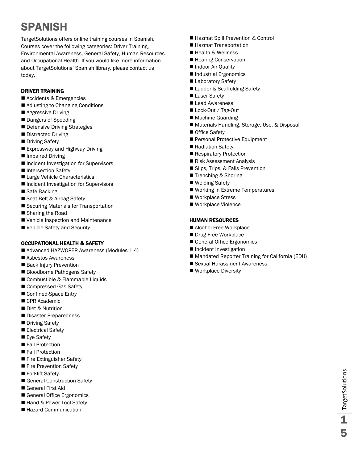### <span id="page-14-0"></span>SPANISH

TargetSolutions offers online training courses in Spanish. Courses cover the following categories: Driver Training, Environmental Awareness, General Safety, Human Resources and Occupational Health. If you would like more information about TargetSolutions' Spanish library, please contact us today.

### <span id="page-14-1"></span>DRIVER TRAINING

- Accidents & Emergencies
- Adjusting to Changing Conditions
- **Aggressive Driving**
- Dangers of Speeding
- Defensive Driving Strategies
- Distracted Driving
- **Driving Safety**
- Expressway and Highway Driving
- Impaired Driving
- Incident Investigation for Supervisors
- Intersection Safety
- Large Vehicle Characteristics
- Incident Investigation for Supervisors
- Safe Backing
- Seat Belt & Airbag Safety
- Securing Materials for Transportation
- Sharing the Road
- Vehicle Inspection and Maintenance
- Vehicle Safety and Security

### <span id="page-14-2"></span>OCCUPATIONAL HEALTH & SAFETY

- Advanced HAZWOPER Awareness (Modules 1-4)
- Asbestos Awareness
- Back Injury Prevention
- Bloodborne Pathogens Safety
- Combustible & Flammable Liquids
- Compressed Gas Safety
- Confined-Space Entry
- CPR Academic
- Diet & Nutrition
- Disaster Preparedness
- Driving Safety
- Electrical Safety
- Eye Safety
- Fall Protection
- Fall Protection
- Fire Extinguisher Safety
- Fire Prevention Safety
- Forklift Safety
- General Construction Safety
- General First Aid
- General Office Ergonomics
- Hand & Power Tool Safety
- Hazard Communication
- Hazmat Spill Prevention & Control
- Hazmat Transportation
- Health & Wellness
- Hearing Conservation
- Indoor Air Quality
- Industrial Ergonomics
- **Laboratory Safety**
- Ladder & Scaffolding Safety
- Laser Safetv
- Lead Awareness
- Lock-Out / Tag-Out
- Machine Guarding
- Materials Handling, Storage, Use, & Disposal
- Office Safety
- Personal Protective Equipment
- Radiation Safety
- Respiratory Protection
- Risk Assessment Analysis
- Slips, Trips, & Falls Prevention
- Trenching & Shoring
- Welding Safety
- Working in Extreme Temperatures
- Workplace Stress
- Workplace Violence

### <span id="page-14-3"></span>HUMAN RESOURCES

- Alcohol-Free Workplace
- Drug-Free Workplace
- General Office Ergonomics
- **Incident Investigation**
- Mandated Reporter Training for California (EDU)
- Sexual Harassment Awareness
- Workplace Diversity